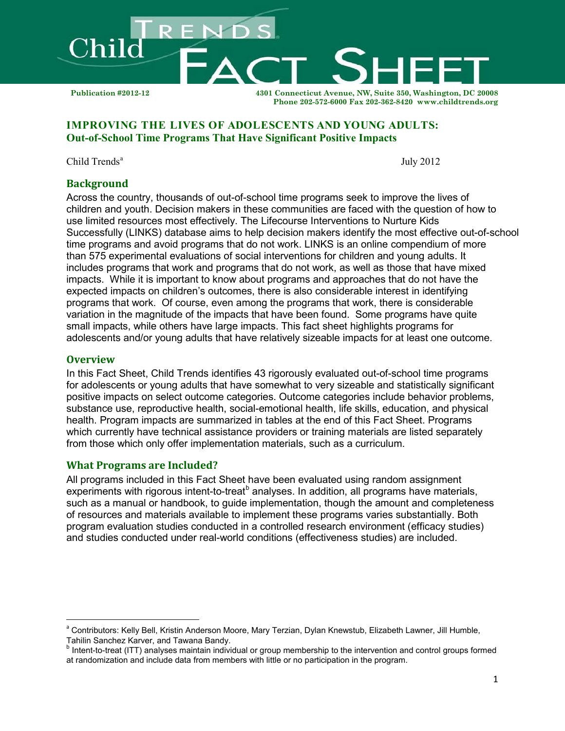

# **IMPROVING THE LIVES OF ADOLESCENTS AND YOUNG ADULTS: Out-of-School Time Programs That Have Significant Positive Impacts**

Child Trends<sup>[a](#page-0-0)</sup>

July 2012

### **Background**

Across the country, thousands of out-of-school time programs seek to improve the lives of children and youth. Decision makers in these communities are faced with the question of how to use limited resources most effectively. The Lifecourse Interventions to Nurture Kids Successfully [\(L](http://www.childtrends.org/_catdisp_page.cfm?LID=CD56B3D7-2F05-4F8E-BCC99B05A4CAEA04)INKS) database aims to help decision makers identify the most effective out-of-school time programs and avoid programs that do not work. LINKS is an online compendium of more than 575 experimental evaluations of social interventions for children and young adults. It includes programs that work and programs that do not work, as well as those that have mixed impacts. While it is important to know about programs and approaches that do not have the expected impacts on children's outcomes, there is also considerable interest in identifying programs that work. Of course, even among the programs that work, there is considerable variation in the magnitude of the impacts that have been found. Some programs have quite small impacts, while others have large impacts. This fact sheet highlights programs for adolescents and/or young adults that have relatively sizeable impacts for at least one outcome.

### **Overview**

 $\overline{\phantom{0}}$ 

In this Fact Sheet, Child Trends identifies 43 rigorously evaluated out-of-school time programs for adolescents or young adults that have somewhat to very sizeable and statistically significant positive impacts on select outcome categories. Outcome categories include behavior problems, substance use, reproductive health, social-emotional health, life skills, education, and physical health. Program impacts are summarized in tables at the end of this Fact Sheet. Programs which currently have technical assistance providers or training materials are listed separately from those which only offer implementation materials, such as a curriculum.

### **What Programs are Included?**

All programs included in this Fact Sheet have been evaluated using random assignment experiments with rigorous intent-to-treat<sup>[b](#page-0-1)</sup> analyses. In addition, all programs have materials, such as a manual or handbook, to guide implementation, though the amount and completeness of resources and materials available to implement these programs varies substantially. Both program evaluation studies conducted in a controlled research environment (efficacy studies) and studies conducted under real-world conditions (effectiveness studies) are included.

<span id="page-0-0"></span><sup>&</sup>lt;sup>a</sup> Contributors: Kelly Bell, Kristin Anderson Moore, Mary Terzian, Dylan Knewstub, Elizabeth Lawner, Jill Humble, Tahilin Sanchez Karver, and Tawana Bandy.

<span id="page-0-1"></span>**b** Intent-to-treat (ITT) analyses maintain individual or group membership to the intervention and control groups formed at randomization and include data from members with little or no participation in the program.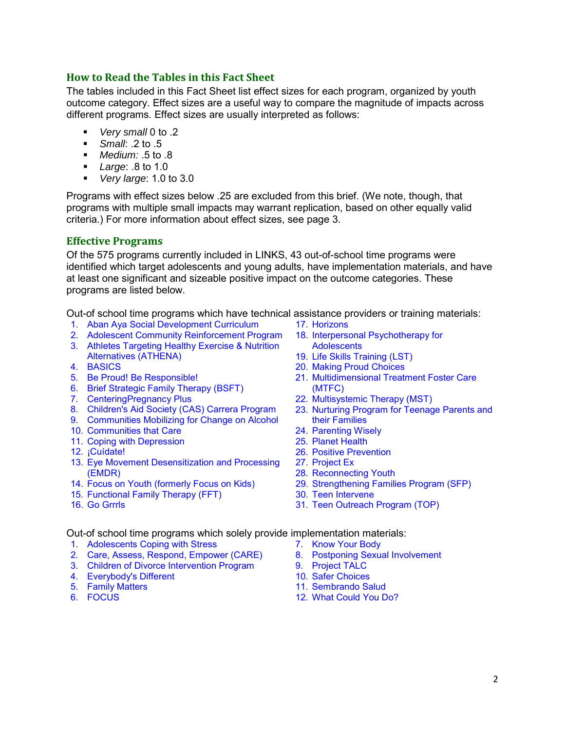# **How to Read the Tables in this Fact Sheet**

The tables included in this Fact Sheet list effect sizes for each program, organized by youth outcome category. Effect sizes are a useful way to compare the magnitude of impacts across different programs. Effect sizes are usually interpreted as follows:

- *Very small* 0 to .2
- *Small*: .2 to .5
- *Medium:* .5 to .8
- *Large*: .8 to 1.0
- *Very large*: 1.0 to 3.0

Programs with effect sizes below .25 are excluded from this brief. (We note, though, that programs with multiple small impacts may warrant replication, based on other equally valid criteria.) For more information about effect sizes, see page 3.

### **Effective Programs**

Of the 575 programs currently included in LINKS, 43 out-of-school time programs were identified which target adolescents and young adults, have implementation materials, and have at least one significant and sizeable positive impact on the outcome categories. These programs are listed below.

Out-of school time programs which have technical assistance providers or training materials:

- 1. [Aban Aya Social Development Curriculum](http://www.childtrends.org/Lifecourse/programs/abanaya.htm)
- 2. Adolescent Community Reinforcement Program
- 3. [Athletes Targeting Healthy Exercise & Nutrition](http://www.childtrends.org/Lifecourse/programs/athena.htm)  [Alternatives \(ATHENA\)](http://www.childtrends.org/Lifecourse/programs/athena.htm)
- 4. [BASICS](http://www.childtrends.org/Lifecourse/programs/BriefAlcoholScreeningBASICS.htm)
- 5. [Be Proud! Be Responsible!](http://www.childtrends.org/Lifecourse/programs/BeProud.htm)
- 6. [Brief Strategic Family Therapy \(BSFT\)](http://www.childtrends.org/Lifecourse/programs/bsft.htm)
- 7. [CenteringPregnancy Plus](http://www.childtrends.org/Lifecourse/programs/centeringpregnancyplus.htm)
- 8. [Children's Aid Society \(CAS\) Carrera Program](http://www.childtrends.org/Lifecourse/programs/CAS-Carrera.htm)
- 9. [Communities Mobilizing for Change on Alcohol](http://www.childtrends.org/Lifecourse/programs/CommunitiesMobilizingforChangeonAlcohol.htm)
- 10. [Communities that Care](http://www.childtrends.org/Lifecourse/programs/CTC.htm)
- 11. [Coping with Depression](http://www.childtrends.org/Lifecourse/programs/cwd.htm)
- 12. [¡Cuídate!](http://www.childtrends.org/Lifecourse/programs/cuidate.htm)
- 13. [Eye Movement Desensitization and Processing](http://www.childtrends.org/Lifecourse/programs/emdr.htm)  [\(EMDR\)](http://www.childtrends.org/Lifecourse/programs/emdr.htm)
- 14. [Focus on Youth \(formerly Focus on Kids\)](http://www.childtrends.org/Lifecourse/programs/focus.htm)
- 15. [Functional Family Therapy \(FFT\)](http://www.childtrends.org/Lifecourse/programs/FunctionalFamily.htm)
- 16. Go Grrrls
- 17. [Horizons](http://www.childtrends.org/Lifecourse/programs/Horizons.htm)
- 18. Interpersonal Psychotherapy for **Adolescents**
- 19. [Life Skills Training \(LST\)](http://www.childtrends.org/Lifecourse/programs/LifeSkillsTraining.htm)
- 20. Making Proud Choices
- 21. Multidimensional Treatment Foster Care (MTFC)
- 22. [Multisystemic Therapy \(MST\)](http://www.childtrends.org/Lifecourse/programs/MultisystemicTherapy.htm)
- 23. [Nurturing Program for Teenage Parents and](http://www.childtrends.org/Lifecourse/programs/nurturing.htm)  [their Families](http://www.childtrends.org/Lifecourse/programs/nurturing.htm)
- 24. [Parenting Wisely](http://www.childtrends.org/Lifecourse/programs/ParentingAdolescentsWisely.htm)
- 25. Planet Health
- 26. [Positive Prevention](http://www.childtrends.org/Lifecourse/programs/positive.htm)
- 27. Project Ex
- 28. [Reconnecting Youth](http://www.childtrends.org/Lifecourse/programs/ReconnectingYouth.htm)
- 29. [Strengthening Families Program \(SFP\)](http://www.childtrends.org/Lifecourse/programs/IowaFamilies.htm)
- 30. Teen Intervene
- 31. Teen Outreach Program (TOP)

Out-of school time programs which solely provide implementation materials:

- 1. Adolescents Coping with Stress
- 2. Care, Assess, Respond, Empower (CARE)
- 3. [Children of Divorce Intervention Program](http://www.childtrends.org/Lifecourse/programs/ChildrenofDivorceInterventionProgram.htm)
- 4. Everybody's Different
- 5. Family Matters
- 6. FOCUS
- 7. Know Your Body
	- 8. Postponing Sexual Involvement
	- 9. Project TALC
	- 10. Safer Choices
	- 11. Sembrando Salud
	- 12. What Could You Do?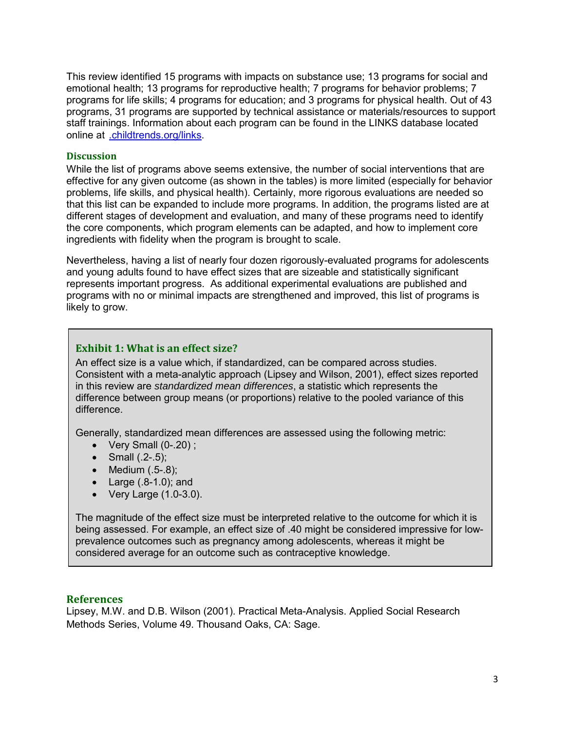This review identified 15 programs with impacts on substance use; 13 programs for social and emotional health; 13 programs for reproductive health; 7 programs for behavior problems; 7 programs for life skills; 4 programs for education; and 3 programs for physical health. Out of 43 programs, 31 programs are supported by technical assistance or materials/resources to support staff trainings. Information about each program can be found in the LINKS database located online at [.childtrends.org/links.](http://www.childtrends.org/links)

#### **Discussion**

While the list of programs above seems extensive, the number of social interventions that are effective for any given outcome (as shown in the tables) is more limited (especially for behavior problems, life skills, and physical health). Certainly, more rigorous evaluations are needed so that this list can be expanded to include more programs. In addition, the programs listed are at different stages of development and evaluation, and many of these programs need to identify the core components, which program elements can be adapted, and how to implement core ingredients with fidelity when the program is brought to scale.

Nevertheless, having a list of nearly four dozen rigorously-evaluated programs for adolescents and young adults found to have effect sizes that are sizeable and statistically significant represents important progress. As additional experimental evaluations are published and programs with no or minimal impacts are strengthened and improved, this list of programs is likely to grow.

# **Exhibit 1: What is an effect size?**

An effect size is a value which, if standardized, can be compared across studies. Consistent with a meta-analytic approach (Lipsey and Wilson, 2001), effect sizes reported in this review are *standardized mean differences*, a statistic which represents the difference between group means (or proportions) relative to the pooled variance of this difference.

Generally, standardized mean differences are assessed using the following metric:

- Very Small  $(0-.20)$ ;
- Small  $(.2-.5)$ ;
- Medium (.5-.8);
- Large (.8-1.0); and
- Very Large (1.0-3.0).

The magnitude of the effect size must be interpreted relative to the outcome for which it is being assessed. For example, an effect size of .40 might be considered impressive for lowprevalence outcomes such as pregnancy among adolescents, whereas it might be considered average for an outcome such as contraceptive knowledge.

#### **References**

Lipsey, M.W. and D.B. Wilson (2001). Practical Meta-Analysis. Applied Social Research Methods Series, Volume 49. Thousand Oaks, CA: Sage.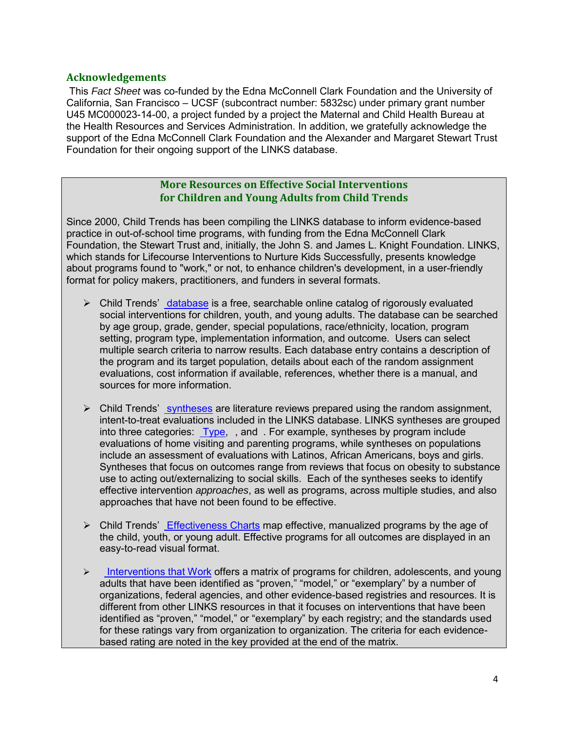## **Acknowledgements**

This *Fact Sheet* was co-funded by the Edna McConnell Clark Foundation and the University of California, San Francisco – UCSF (subcontract number: 5832sc) under primary grant number U45 MC000023-14-00, a project funded by a project the Maternal and Child Health Bureau at the Health Resources and Services Administration. In addition, we gratefully acknowledge the support of the Edna McConnell Clark Foundation and the Alexander and Margaret Stewart Trust Foundation for their ongoing support of the LINKS database.

# **More Resources on Effective Social Interventions for Children and Young Adults from Child Trends**

Since 2000, Child Trends has been compiling the LINKS database to inform evidence-based practice in out-of-school time programs, with funding from the Edna McConnell Clark Foundation, the Stewart Trust and, initially, the John S. and James L. Knight Foundation. LINKS, which stands for Lifecourse Interventions to Nurture Kids Successfully, presents knowledge about programs found to "work," or not, to enhance children's development, in a user-friendly format for policy makers, practitioners, and funders in several formats.

- $\triangleright$  Child Trends' [database](http://www.childtrends.org/Links/) is a free, searchable online catalog of rigorously evaluated social interventions for children, youth, and young adults. The database can be searched by age group, grade, gender, special populations, race/ethnicity, location, program setting, program type, implementation information, and outcome. Users can select multiple search criteria to narrow results. Each database entry contains a description of the program and its target population, details about each of the random assignment evaluations, cost information if available, references, whether there is a manual, and sources for more information.
- $\triangleright$  Child Trends' [syntheses](http://www.childtrends.org/_listLINKSSynthsis.cfm?LID=B1F74E5F-7B8D-466C-B7CF2E9CC378EBDA) are literature reviews prepared using the random assignment, intent-to-treat evaluations included in the LINKS database. LINKS syntheses are grouped into three categories: [Type,](http://www.childtrends.org/_listLINKSSynthsis.cfm?LID=B1F74E5F-7B8D-466C-B7CF2E9CC378EBDA#programtype) [,](http://www.childtrends.org/_listLINKSSynthsis.cfm?LID=B1F74E5F-7B8D-466C-B7CF2E9CC378EBDA#population) and [.](http://www.childtrends.org/_listLINKSSynthsis.cfm?LID=B1F74E5F-7B8D-466C-B7CF2E9CC378EBDA#outcome) For example, syntheses by program include evaluations of home visiting and parenting programs, while syntheses on populations include an assessment of evaluations with Latinos, African Americans, boys and girls. Syntheses that focus on outcomes range from reviews that focus on obesity to substance use to acting out/externalizing to social skills. Each of the syntheses seeks to identify effective intervention *approaches*, as well as programs, across multiple studies, and also approaches that have not been found to be effective.
- $\triangleright$  Child Trends' [Effectiveness Charts](http://www.childtrends.org/_docdisp_page.cfm?LID=12147DD0-0FBE-4741-8FF095140FC97836) map effective, manualized programs by the age of the child, youth, or young adult. Effective programs for all outcomes are displayed in an easy-to-read visual format.
- $\triangleright$  [Interventions that Work](http://www.childtrends.org/_catdisp_page.cfm?LID=AD85078D-C136-4505-B368D5A80098972F) offers a matrix of programs for children, adolescents, and young adults that have been identified as "proven," "model," or "exemplary" by a number of organizations, federal agencies, and other evidence-based registries and resources. It is different from other LINKS resources in that it focuses on interventions that have been identified as "proven," "model," or "exemplary" by each registry; and the standards used for these ratings vary from organization to organization. The criteria for each evidencebased rating are noted in the key provided at the end of the matrix.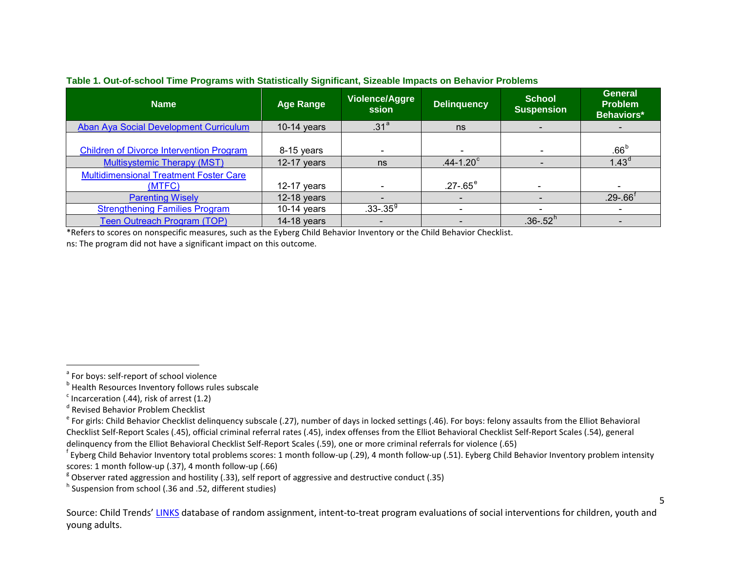| <b>Name</b>                                             | <b>Age Range</b> | Violence/Aggre<br>ssion  | <b>Delinquency</b>   | <b>School</b><br><b>Suspension</b> | <b>General</b><br><b>Problem</b><br><b>Behaviors*</b> |
|---------------------------------------------------------|------------------|--------------------------|----------------------|------------------------------------|-------------------------------------------------------|
| Aban Aya Social Development Curriculum                  | $10-14$ years    | .31 <sup>a</sup>         | ns                   |                                    |                                                       |
| <b>Children of Divorce Intervention Program</b>         | 8-15 years       |                          |                      |                                    | .66 <sup>b</sup>                                      |
| <b>Multisystemic Therapy (MST)</b>                      | $12-17$ years    | ns                       | $.44 - 1.20^{\circ}$ |                                    | 1.43 <sup>d</sup>                                     |
| <b>Multidimensional Treatment Foster Care</b><br>(MTFC) | 12-17 years      |                          | $.27 - .65^{\circ}$  |                                    |                                                       |
| <b>Parenting Wisely</b>                                 | $12-18$ years    |                          |                      |                                    | $.29 - .66^{\dagger}$                                 |
| <b>Strengthening Families Program</b>                   | 10-14 years      | $.33 - .359$             |                      |                                    |                                                       |
| Teen Outreach Program (TOP)                             | $14-18$ years    | $\overline{\phantom{a}}$ |                      | $.36 - .52h$                       |                                                       |

#### <span id="page-4-7"></span><span id="page-4-6"></span><span id="page-4-5"></span><span id="page-4-4"></span><span id="page-4-3"></span><span id="page-4-2"></span><span id="page-4-1"></span><span id="page-4-0"></span>**Table 1. Out-of-school Time Programs with Statistically Significant, Sizeable Impacts on Behavior Problems**

\*Refers to scores on nonspecific measures, such as the Eyberg Child Behavior Inventory or the Child Behavior Checklist.

ns: The program did not have a significant impact on this outcome.

ı

Source: Child Trends[' LINKS](http://www.childtrends.org/links/) database of random assignment, intent-to-treat program evaluations of social interventions for children, youth and young adults.

<sup>&</sup>lt;sup>a</sup> For boys: self-report of school violence

**b** Health Resources Inventory follows rules subscale

 $\textdegree$  Incarceration (.44), risk of arrest (1.2)

<sup>d</sup> Revised Behavior Problem Checklist

 $e^*$  For girls: Child Behavior Checklist delinquency subscale (.27), number of days in locked settings (.46). For boys: felony assaults from the Elliot Behavioral Checklist Self-Report Scales (.45), official criminal referral rates (.45), index offenses from the Elliot Behavioral Checklist Self-Report Scales (.54), general delinquency from the Elliot Behavioral Checklist Self-Report Scales (.59), one or more criminal referrals for violence (.65)

<sup>&</sup>lt;sup>f</sup> Eyberg Child Behavior Inventory total problems scores: 1 month follow-up (.29), 4 month follow-up (.51). Eyberg Child Behavior Inventory problem intensity scores: 1 month follow-up (.37), 4 month follow-up (.66)

 $8$  Observer rated aggression and hostility (.33), self report of aggressive and destructive conduct (.35)

<sup>&</sup>lt;sup>h</sup> Suspension from school (.36 and .52, different studies)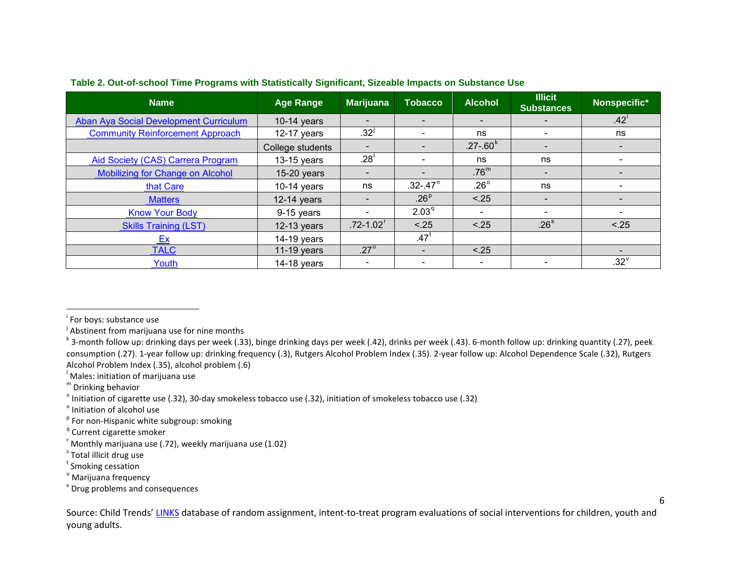| <b>Name</b>                             | <b>Age Range</b> | <b>Marijuana</b>          | <b>Tobacco</b>               | <b>Alcohol</b>               | <b>Illicit</b><br><b>Substances</b> | Nonspecific*     |
|-----------------------------------------|------------------|---------------------------|------------------------------|------------------------------|-------------------------------------|------------------|
| Aban Aya Social Development Curriculum  | $10-14$ years    |                           | $\overline{\phantom{0}}$     | $\overline{\phantom{0}}$     |                                     | .42 <sup>1</sup> |
| <b>Community Reinforcement Approach</b> | $12-17$ years    | .32 <sup>1</sup>          | $\qquad \qquad \blacksquare$ | ns                           | $\blacksquare$                      | ns               |
|                                         | College students |                           | $\overline{\phantom{0}}$     | $.27 - .60k$                 | $\overline{\phantom{a}}$            |                  |
| Aid Society (CAS) Carrera Program       | $13-15$ years    | .28 <sup>1</sup>          |                              | ns                           | ns                                  |                  |
| <b>Mobilizing for Change on Alcohol</b> | $15-20$ years    |                           | $\overline{\phantom{0}}$     | .76 <sup>m</sup>             | $\overline{\phantom{a}}$            |                  |
| that Care                               | $10-14$ years    | ns                        | $.32 - .47$ <sup>n</sup>     | .26 $^{\circ}$               | ns                                  |                  |
| <b>Matters</b>                          | $12-14$ years    |                           | .26 <sup>p</sup>             | < .25                        |                                     |                  |
| <b>Know Your Body</b>                   | 9-15 years       |                           | 2.03 <sup>q</sup>            | $\qquad \qquad \blacksquare$ | $\overline{\phantom{0}}$            |                  |
| <b>Skills Training (LST)</b>            | $12-13$ years    | $.72 - 1.02$ <sup>r</sup> | < .25                        | < .25                        | .26 <sup>s</sup>                    | < .25            |
| Ex                                      | $14-19$ years    |                           | $.47^t$                      |                              |                                     |                  |
| <b>TALC</b>                             | 11-19 years      | $.27^{\mathrm{u}}$        |                              | < .25                        |                                     |                  |
| Youth                                   | $14-18$ years    |                           |                              |                              |                                     | $.32^v$          |

#### <span id="page-5-13"></span><span id="page-5-12"></span><span id="page-5-11"></span><span id="page-5-10"></span><span id="page-5-9"></span><span id="page-5-8"></span><span id="page-5-7"></span><span id="page-5-6"></span><span id="page-5-5"></span><span id="page-5-4"></span><span id="page-5-3"></span><span id="page-5-2"></span><span id="page-5-1"></span><span id="page-5-0"></span>**Table 2. Out-of-school Time Programs with Statistically Significant, Sizeable Impacts on Substance Use**

 $\overline{\phantom{0}}$ 

Source: Child Trends[' LINKS](http://www.childtrends.org/links/) database of random assignment, intent-to-treat program evaluations of social interventions for children, youth and young adults.

<sup>&</sup>lt;sup>i</sup> For boys: substance use

<sup>&</sup>lt;sup>j</sup> Abstinent from marijuana use for nine months

<sup>&</sup>lt;sup>k</sup> 3-month follow up: drinking days per week (.33), binge drinking days per week (.42), drinks per week (.43). 6-month follow up: drinking quantity (.27), peek consumption (.27). 1-year follow up: drinking frequency (.3), Rutgers Alcohol Problem Index (.35). 2-year follow up: Alcohol Dependence Scale (.32), Rutgers Alcohol Problem Index (.35), alcohol problem (.6)

<sup>&</sup>lt;sup>I</sup> Males: initiation of marijuana use

<sup>m</sup> Drinking behavior

 $n$  Initiation of cigarette use (.32), 30-day smokeless tobacco use (.32), initiation of smokeless tobacco use (.32)

<sup>&</sup>lt;sup>o</sup> Initiation of alcohol use

 $P$  For non-Hispanic white subgroup: smoking

<sup>&</sup>lt;sup>q</sup> Current cigarette smoker

r Monthly marijuana use (.72), weekly marijuana use (1.02)

<sup>&</sup>lt;sup>s</sup> Total illicit drug use

t Smoking cessation

<sup>&</sup>lt;sup>u</sup> Marijuana frequency

<sup>v</sup> Drug problems and consequences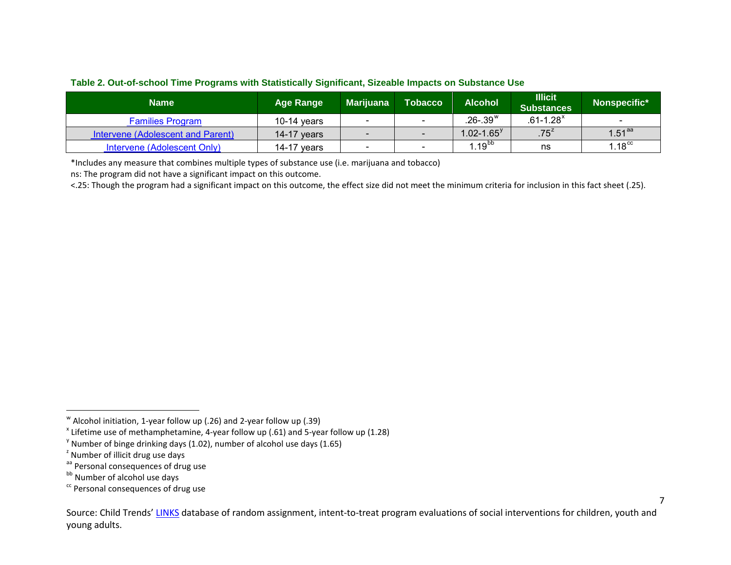<span id="page-6-6"></span><span id="page-6-5"></span><span id="page-6-4"></span><span id="page-6-3"></span><span id="page-6-2"></span><span id="page-6-1"></span><span id="page-6-0"></span>

|  | Table 2. Out-of-school Time Programs with Statistically Significant, Sizeable Impacts on Substance Use |  |
|--|--------------------------------------------------------------------------------------------------------|--|
|  |                                                                                                        |  |

| <b>Name</b>                       | <b>Age Range</b> | <b>Marijuana</b> | <b>Tobacco</b> | <b>Alcohol</b>  | <b>Illicit</b><br><b>Substances</b> | Nonspecific*         |
|-----------------------------------|------------------|------------------|----------------|-----------------|-------------------------------------|----------------------|
| <b>Families Program</b>           | 10-14 $years$    |                  | -              | $26 - 39^w$     | $.61 - 1.28$ <sup>x</sup>           |                      |
| Intervene (Adolescent and Parent) | 14-17 $years$    |                  |                | $1.02 - 1.65^y$ | $.75^z$                             | $1.51$ <sup>aa</sup> |
| Intervene (Adolescent Only)       | 14-17 years      |                  | -              | $1.19^{bb}$     | ns                                  | 1.18 $^{\rm cc}$     |

\*Includes any measure that combines multiple types of substance use (i.e. marijuana and tobacco)

ns: The program did not have a significant impact on this outcome.

<.25: Though the program had a significant impact on this outcome, the effect size did not meet the minimum criteria for inclusion in this fact sheet (.25).

ı

<sup>w</sup> Alcohol initiation, 1-year follow up (.26) and 2-year follow up (.39)

 $x$  Lifetime use of methamphetamine, 4-year follow up (.61) and 5-year follow up (1.28)

 $\frac{v}{s}$  Number of binge drinking days (1.02), number of alcohol use days (1.65)

<sup>&</sup>lt;sup>2</sup> Number of illicit drug use days

aa Personal consequences of drug use

bb Number of alcohol use days

<sup>&</sup>lt;sup>cc</sup> Personal consequences of drug use

Source: Child Trends[' LINKS](http://www.childtrends.org/links/) database of random assignment, intent-to-treat program evaluations of social interventions for children, youth and young adults.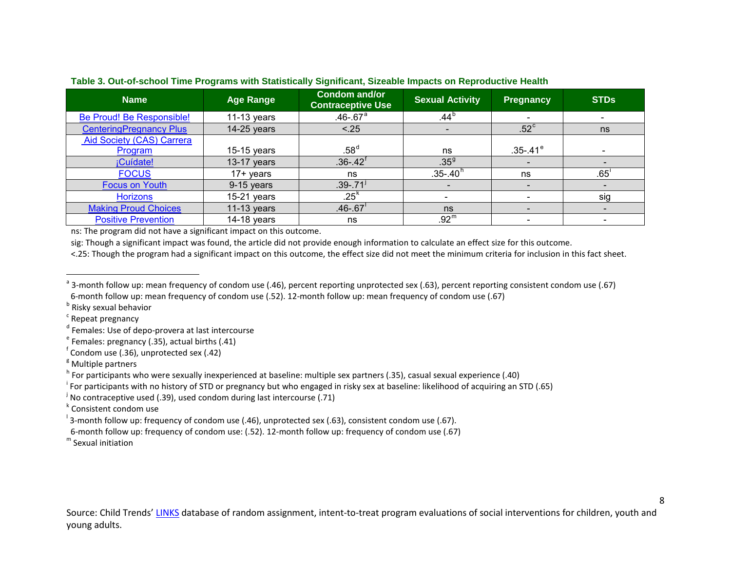| <b>Name</b>                      | <b>Age Range</b> | <b>Condom and/or</b><br><b>Contraceptive Use</b> | <b>Sexual Activity</b> | <b>Pregnancy</b> | <b>STDs</b> |
|----------------------------------|------------------|--------------------------------------------------|------------------------|------------------|-------------|
| Be Proud! Be Responsible!        | 11-13 years      | $.46 - .67$ <sup>a</sup>                         | .44 <sup>b</sup>       |                  |             |
| <b>CenteringPregnancy Plus</b>   | $14-25$ years    | < .25                                            |                        | $.52^{\circ}$    | ns          |
| <b>Aid Society (CAS) Carrera</b> |                  |                                                  |                        |                  |             |
| Program                          | 15-15 years      | .58 <sup>d</sup>                                 | ns                     | $.35 - .41^e$    |             |
| ¡Cuídate!                        | 13-17 years      | $.36 - .42$ <sup>t</sup>                         | $.35^{9}$              |                  |             |
| <b>FOCUS</b>                     | $17+$ years      | ns                                               | $.35 - .40h$           | ns               | .65         |
| <b>Focus on Youth</b>            | 9-15 years       | $.39 - .71$ <sup>J</sup>                         |                        |                  |             |
| <b>Horizons</b>                  | $15-21$ years    | $.25\kappa$                                      |                        |                  | sig         |
| <b>Making Proud Choices</b>      | 11-13 years      | $.46 - .67$                                      | ns                     |                  |             |
| <b>Positive Prevention</b>       | 14-18 years      | ns                                               | .92 <sup>m</sup>       |                  |             |

#### <span id="page-7-12"></span><span id="page-7-11"></span><span id="page-7-10"></span><span id="page-7-9"></span><span id="page-7-8"></span><span id="page-7-7"></span><span id="page-7-6"></span><span id="page-7-5"></span><span id="page-7-4"></span><span id="page-7-3"></span><span id="page-7-2"></span><span id="page-7-1"></span><span id="page-7-0"></span>**Table 3. Out-of-school Time Programs with Statistically Significant, Sizeable Impacts on Reproductive Health**

ns: The program did not have a significant impact on this outcome.

sig: Though a significant impact was found, the article did not provide enough information to calculate an effect size for this outcome.

<.25: Though the program had a significant impact on this outcome, the effect size did not meet the minimum criteria for inclusion in this fact sheet.

**b** Risky sexual behavior

 $c$  Repeat pregnancy

ı

<sup>d</sup> Females: Use of depo-provera at last intercourse

 $e^e$  Females: pregnancy (.35), actual births (.41)

f Condom use (.36), unprotected sex (.42)

 $<sup>g</sup>$  Multiple partners</sup>

h For participants who were sexually inexperienced at baseline: multiple sex partners (.35), casual sexual experience (.40)

<sup>i</sup> For participants with no history of STD or pregnancy but who engaged in risky sex at baseline: likelihood of acquiring an STD (.65)

<sup>j</sup> No contraceptive used (.39), used condom during last intercourse (.71)

<sup>k</sup> Consistent condom use

 $^{\prime}$  3-month follow up: frequency of condom use (.46), unprotected sex (.63), consistent condom use (.67).

6-month follow up: frequency of condom use: (.52). 12-month follow up: frequency of condom use (.67)

 $<sup>m</sup>$  Sexual initiation</sup>

<sup>&</sup>lt;sup>a</sup> 3-month follow up: mean frequency of condom use (.46), percent reporting unprotected sex (.63), percent reporting consistent condom use (.67) 6-month follow up: mean frequency of condom use (.52). 12-month follow up: mean frequency of condom use (.67)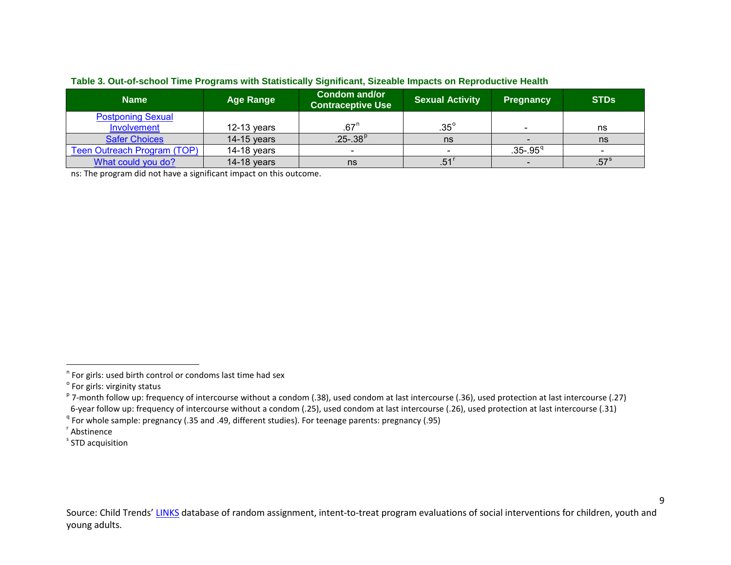| <b>Name</b>                 | <b>Age Range</b> | <b>Condom and/or</b><br><b>Contraceptive Use</b> | <b>Sexual Activity</b> | <b>Pregnancy</b>         | <b>STDs</b>   |
|-----------------------------|------------------|--------------------------------------------------|------------------------|--------------------------|---------------|
| <b>Postponing Sexual</b>    |                  |                                                  |                        |                          |               |
| Involvement                 | $12-13$ years    | .67 <sup>n</sup>                                 | $.35^{\circ}$          | $\overline{\phantom{a}}$ | ns            |
| <b>Safer Choices</b>        | $14-15$ years    | $.25-.38^{p}$                                    | ns                     |                          | ns            |
| Teen Outreach Program (TOP) | $14-18$ years    |                                                  |                        | $.35-.95q$               |               |
| What could you do?          | $14-18$ years    | ns                                               | .51                    |                          | $.57^{\circ}$ |

#### <span id="page-8-5"></span><span id="page-8-4"></span><span id="page-8-3"></span><span id="page-8-2"></span><span id="page-8-1"></span><span id="page-8-0"></span>**Table 3. Out-of-school Time Programs with Statistically Significant, Sizeable Impacts on Reproductive Health**

ns: The program did not have a significant impact on this outcome.

 $\overline{\phantom{0}}$ 

<sup>n</sup> For girls: used birth control or condoms last time had sex

<sup>&</sup>lt;sup>o</sup> For girls: virginity status

<sup>&</sup>lt;sup>p</sup> 7-month follow up: frequency of intercourse without a condom (.38), used condom at last intercourse (.36), used protection at last intercourse (.27) 6-year follow up: frequency of intercourse without a condom (.25), used condom at last intercourse (.26), used protection at last intercourse (.31)

<sup>&</sup>lt;sup>q</sup> For whole sample: pregnancy (.35 and .49, different studies). For teenage parents: pregnancy (.95)

r Abstinence

<sup>&</sup>lt;sup>s</sup> STD acquisition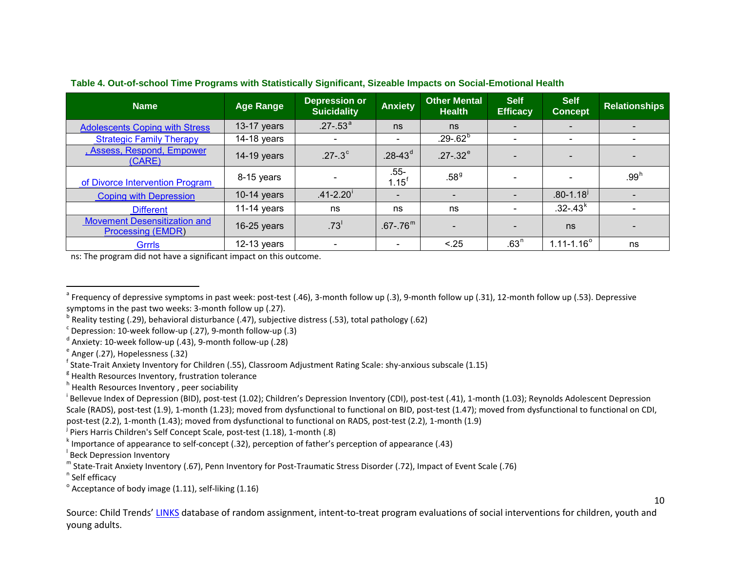| <b>Name</b>                                                     | <b>Age Range</b> | <b>Depression or</b><br><b>Suicidality</b> | <b>Anxiety</b>              | <b>Other Mental</b><br><b>Health</b> | <b>Self</b><br><b>Efficacy</b> | <b>Self</b><br><b>Concept</b> | <b>Relationships</b> |
|-----------------------------------------------------------------|------------------|--------------------------------------------|-----------------------------|--------------------------------------|--------------------------------|-------------------------------|----------------------|
| <b>Adolescents Coping with Stress</b>                           | $13-17$ years    | $.27 - .53a$                               | ns                          | ns                                   |                                | $\overline{\phantom{a}}$      |                      |
| <b>Strategic Family Therapy</b>                                 | $14-18$ years    |                                            | $\overline{\phantom{0}}$    | $.29 - .62^b$                        |                                | $\overline{\phantom{0}}$      |                      |
| , Assess, Respond, Empower<br>(CARE)                            | $14-19$ years    | $.27 - .3^{\circ}$                         | $.28 - 43^d$                | $.27-.32^e$                          |                                | $\overline{\phantom{a}}$      |                      |
| of Divorce Intervention Program                                 | 8-15 years       |                                            | $.55 -$<br>$1.15^{\dagger}$ | .58 <sup>9</sup>                     |                                |                               | $.99^{\text{h}}$     |
| <b>Coping with Depression</b>                                   | $10-14$ years    | $.41 - 2.20$                               |                             |                                      |                                | $.80 - 1.18$                  |                      |
| <b>Different</b>                                                | 11-14 years      | ns                                         | ns                          | ns                                   |                                | $.32 - .43k$                  |                      |
| <b>Movement Desensitization and</b><br><b>Processing (EMDR)</b> | $16-25$ years    | .73 <sup>1</sup>                           | $.67 - .76^m$               |                                      |                                | ns                            |                      |
| Grrrls                                                          | $12-13$ years    |                                            | $\overline{\phantom{a}}$    | < .25                                | .63 <sup>n</sup>               | $1.11 - 1.16^{\circ}$         | ns                   |

<span id="page-9-14"></span><span id="page-9-13"></span><span id="page-9-12"></span><span id="page-9-11"></span><span id="page-9-10"></span><span id="page-9-9"></span><span id="page-9-8"></span><span id="page-9-7"></span><span id="page-9-6"></span><span id="page-9-5"></span><span id="page-9-4"></span><span id="page-9-3"></span><span id="page-9-2"></span><span id="page-9-1"></span><span id="page-9-0"></span>**Table 4. Out-of-school Time Programs with Statistically Significant, Sizeable Impacts on Social-Emotional Health**

ns: The program did not have a significant impact on this outcome.

 $c$  Depression: 10-week follow-up (.27), 9-month follow-up (.3)

<sub>.</sub><br>Piers Harris Children's Self Concept Scale, post-test (1.18), 1-month (.8)

ı

 $^{\circ}$  Frequency of depressive symptoms in past week: post-test (.46), 3-month follow up (.3), 9-month follow up (.31), 12-month follow up (.53). Depressive symptoms in the past two weeks: 3-month follow up (.27).

<sup>&</sup>lt;sup>b</sup> Reality testing (.29), behavioral disturbance (.47), subjective distress (.53), total pathology (.62)

 $d$  Anxiety: 10-week follow-up (.43), 9-month follow-up (.28)

 $e^e$  Anger (.27), Hopelessness (.32)

<sup>&</sup>lt;sup>f</sup> State-Trait Anxiety Inventory for Children (.55), Classroom Adjustment Rating Scale: shy-anxious subscale (1.15)

 $<sup>8</sup>$  Health Resources Inventory, frustration tolerance</sup>

h Health Resources Inventory, peer sociability

<sup>&</sup>lt;sup>i</sup> Bellevue Index of Depression (BID), post-test (1.02); Children's Depression Inventory (CDI), post-test (.41), 1-month (1.03); Reynolds Adolescent Depression Scale (RADS), post-test (1.9), 1-month (1.23); moved from dysfunctional to functional on BID, post-test (1.47); moved from dysfunctional to functional on CDI, post-test (2.2), 1-month (1.43); moved from dysfunctional to functional on RADS, post-test (2.2), 1-month (1.9)

k Importance of appearance to self-concept (.32), perception of father's perception of appearance (.43)

<sup>&</sup>lt;sup>I</sup> Beck Depression Inventory

m State-Trait Anxiety Inventory (.67), Penn Inventory for Post-Traumatic Stress Disorder (.72), Impact of Event Scale (.76)

<sup>&</sup>lt;sup>n</sup> Self efficacy

 $^{\circ}$  Acceptance of body image (1.11), self-liking (1.16)

Source: Child Trends[' LINKS](http://www.childtrends.org/links/) database of random assignment, intent-to-treat program evaluations of social interventions for children, youth and young adults.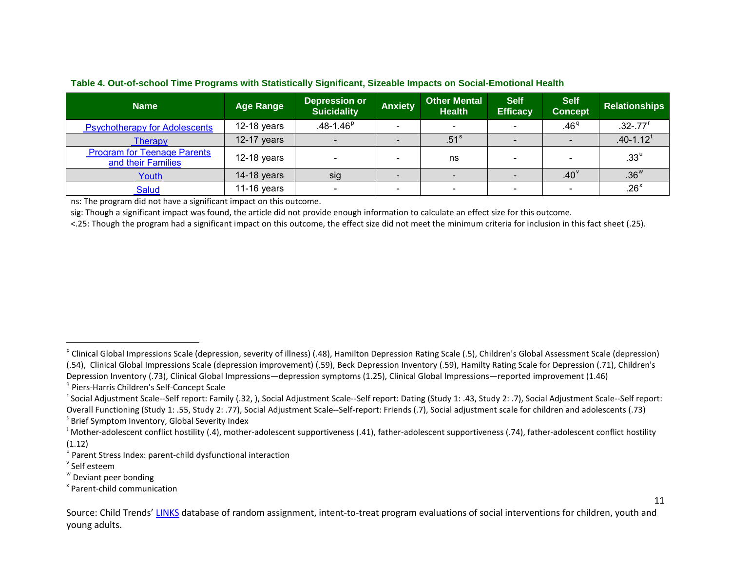<span id="page-10-8"></span><span id="page-10-7"></span><span id="page-10-6"></span><span id="page-10-5"></span><span id="page-10-4"></span><span id="page-10-3"></span><span id="page-10-2"></span><span id="page-10-1"></span><span id="page-10-0"></span>

|  |  | Table 4. Out-of-school Time Programs with Statistically Significant, Sizeable Impacts on Social-Emotional Health |
|--|--|------------------------------------------------------------------------------------------------------------------|
|  |  |                                                                                                                  |

| <b>Name</b>                                              | <b>Age Range</b> | <b>Depression or</b><br><b>Suicidality</b> | <b>Anxiety</b> | <b>Other Mental</b><br>Health <sup>1</sup> | <b>Self</b><br><b>Efficacy</b> | <b>Self</b><br><b>Concept</b> | <b>Relationships</b>      |
|----------------------------------------------------------|------------------|--------------------------------------------|----------------|--------------------------------------------|--------------------------------|-------------------------------|---------------------------|
| <b>Psychotherapy for Adolescents</b>                     | $12-18$ years    | $.48 - 1.46^p$                             |                |                                            |                                | .46 <sup>q</sup>              | $.32 - .77$ <sup>r</sup>  |
| Therapy                                                  | $12-17$ years    | $\sim$                                     |                | .51 <sup>s</sup>                           |                                |                               | $.40 - 1.12$ <sup>t</sup> |
| <b>Program for Teenage Parents</b><br>and their Families | $12-18$ years    | $\sim$                                     | $\sim$         | ns                                         | $\overline{\phantom{0}}$       | $\overline{\phantom{0}}$      | $.33^{\circ}$             |
| Youth                                                    | 14-18 years      | sig                                        |                |                                            |                                | .40 <sup>9</sup>              | .36 <sup>w</sup>          |
| <b>Salud</b>                                             | 11-16 years      | $\overline{\phantom{0}}$                   | -              |                                            | $\sim$                         | $\overline{\phantom{0}}$      | $.26^{\times}$            |

ns: The program did not have a significant impact on this outcome.

sig: Though a significant impact was found, the article did not provide enough information to calculate an effect size for this outcome.

<.25: Though the program had a significant impact on this outcome, the effect size did not meet the minimum criteria for inclusion in this fact sheet (.25).

<sup>r</sup> Social Adjustment Scale--Self report: Family (.32, ), Social Adjustment Scale--Self report: Dating (Study 1: .43, Study 2: .7), Social Adjustment Scale--Self report: Overall Functioning (Study 1: .55, Study 2: .77), Social Adjustment Scale--Self-report: Friends (.7), Social adjustment scale for children and adolescents (.73) <sup>s</sup> Brief Symptom Inventory, Global Severity Index

ı

<sup>&</sup>lt;sup>p</sup> Clinical Global Impressions Scale (depression, severity of illness) (.48), Hamilton Depression Rating Scale (.5), Children's Global Assessment Scale (depression) (.54), Clinical Global Impressions Scale (depression improvement) (.59), Beck Depression Inventory (.59), Hamilty Rating Scale for Depression (.71), Children's

Depression Inventory (.73), Clinical Global Impressions—depression symptoms (1.25), Clinical Global Impressions—reported improvement (1.46)

<sup>&</sup>lt;sup>q</sup> Piers-Harris Children's Self-Concept Scale

<sup>&</sup>lt;sup>t</sup> Mother-adolescent conflict hostility (.4), mother-adolescent supportiveness (.41), father-adolescent supportiveness (.74), father-adolescent conflict hostility  $(1.12)$ 

<sup>&</sup>lt;sup>u</sup> Parent Stress Index: parent-child dysfunctional interaction

<sup>v</sup> Self esteem

<sup>w</sup> Deviant peer bonding

<sup>x</sup> Parent-child communication

Source: Child Trends[' LINKS](http://www.childtrends.org/links/) database of random assignment, intent-to-treat program evaluations of social interventions for children, youth and young adults.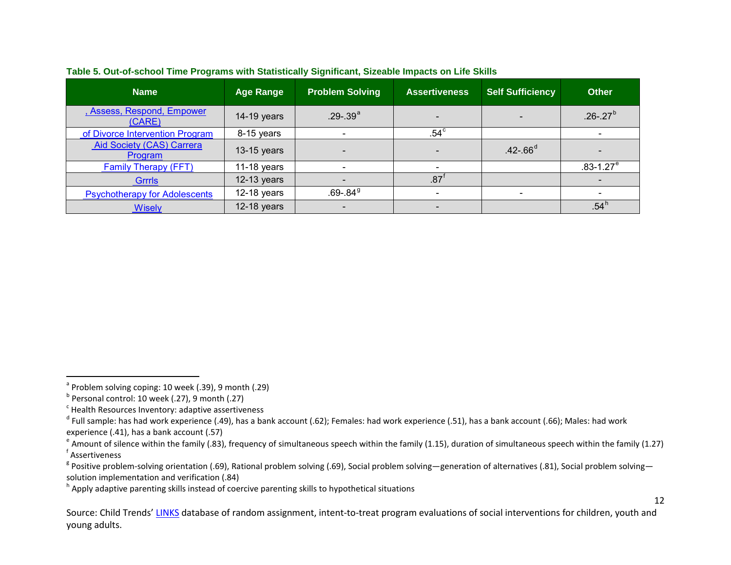| <b>Name</b>                                 | <b>Age Range</b> | <b>Problem Solving</b>   | <b>Assertiveness</b>     | <b>Self Sufficiency</b>  | <b>Other</b>              |
|---------------------------------------------|------------------|--------------------------|--------------------------|--------------------------|---------------------------|
| , Assess, Respond, Empower<br>(CARE)        | 14-19 years      | $.29-.39a$               | $\overline{\phantom{a}}$ |                          | $.26 - .27^{b}$           |
| of Divorce Intervention Program             | 8-15 years       | $\overline{\phantom{0}}$ | $.54^{\circ}$            |                          |                           |
| <b>Aid Society (CAS) Carrera</b><br>Program | $13-15$ years    | $\overline{\phantom{0}}$ | $\overline{\phantom{a}}$ | $.42 - .66^{d}$          |                           |
| <b>Family Therapy (FFT)</b>                 | 11-18 years      |                          | $\overline{\phantom{a}}$ |                          | $.83 - 1.27$ <sup>e</sup> |
| <b>Grrrls</b>                               | $12-13$ years    |                          | .87                      |                          |                           |
| <b>Psychotherapy for Adolescents</b>        | $12-18$ years    | $.69 - .849$             | $\overline{\phantom{a}}$ | $\overline{\phantom{0}}$ |                           |
| <b>Wisely</b>                               | $12-18$ years    | $\overline{\phantom{a}}$ | $\overline{\phantom{a}}$ |                          | $.54^{\circ}$             |

#### <span id="page-11-7"></span><span id="page-11-6"></span><span id="page-11-5"></span><span id="page-11-4"></span><span id="page-11-3"></span><span id="page-11-2"></span><span id="page-11-1"></span><span id="page-11-0"></span>**Table 5. Out-of-school Time Programs with Statistically Significant, Sizeable Impacts on Life Skills**

 $\overline{\phantom{0}}$ 

<sup>h</sup> Apply adaptive parenting skills instead of coercive parenting skills to hypothetical situations

Source: Child Trends[' LINKS](http://www.childtrends.org/links/) database of random assignment, intent-to-treat program evaluations of social interventions for children, youth and young adults.

<sup>&</sup>lt;sup>a</sup> Problem solving coping: 10 week (.39), 9 month (.29)

 $<sup>b</sup>$  Personal control: 10 week (.27), 9 month (.27)</sup>

 $c$  Health Resources Inventory: adaptive assertiveness

 $^d$  Full sample: has had work experience (.49), has a bank account (.62); Females: had work experience (.51), has a bank account (.66); Males: had work

experience (.41), has a bank account (.57)<br>
<sup>e</sup> Amount of silence within the family (.83), frequency of simultaneous speech within the family (1.15), duration of simultaneous speech within the family (1.27) Assertiveness

<sup>&</sup>lt;sup>g</sup> Positive problem-solving orientation (.69), Rational problem solving (.69), Social problem solving—generation of alternatives (.81), Social problem solving solution implementation and verification (.84)